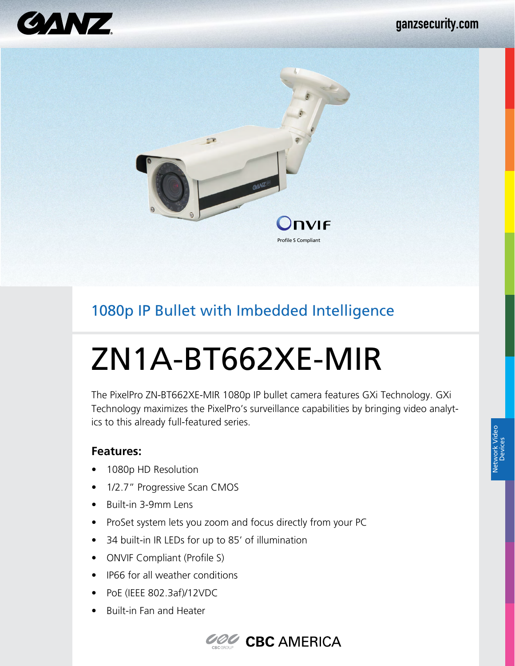



## 1080p IP Bullet with Imbedded Intelligence

# ZN1A-BT662XE-MIR

The PixelPro ZN-BT662XE-MIR 1080p IP bullet camera features GXi Technology. GXi Technology maximizes the PixelPro's surveillance capabilities by bringing video analytics to this already full-featured series.

#### **Features:**

- 1080p HD Resolution
- 1/2.7" Progressive Scan CMOS
- Built-in 3-9mm Lens
- ProSet system lets you zoom and focus directly from your PC
- 34 built-in IR LEDs for up to 85' of illumination
- ONVIF Compliant (Profile S)
- IP66 for all weather conditions
- PoE (IEEE 802.3af)/12VDC
- Built-in Fan and Heater